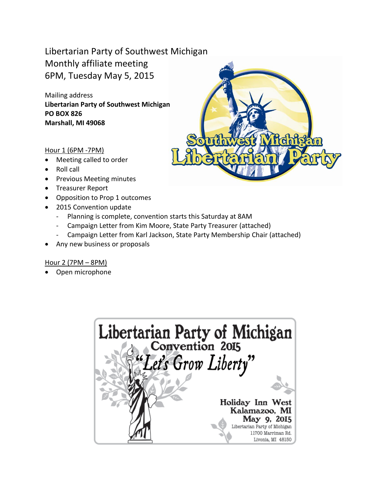### Libertarian Party of Southwest Michigan Monthly affiliate meeting 6PM, Tuesday May 5, 2015

Mailing address **Libertarian Party of Southwest Michigan PO BOX 826 Marshall, MI 49068**



### Hour 1 (6PM -7PM)

- Meeting called to order
- Roll call
- Previous Meeting minutes
- Treasurer Report
- Opposition to Prop 1 outcomes
- 2015 Convention update
	- Planning is complete, convention starts this Saturday at 8AM
	- Campaign Letter from Kim Moore, State Party Treasurer (attached)
	- Campaign Letter from Karl Jackson, State Party Membership Chair (attached)
- Any new business or proposals

### Hour 2 (7PM – 8PM)

• Open microphone

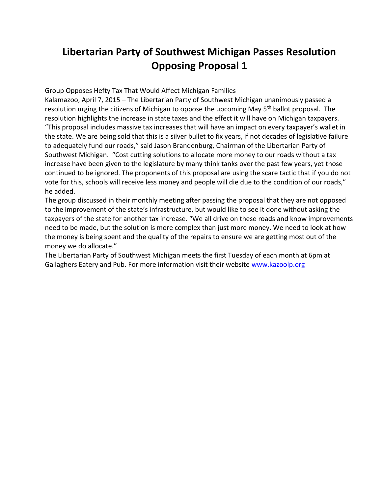# **Libertarian Party of Southwest Michigan Passes Resolution Opposing Proposal 1**

Group Opposes Hefty Tax That Would Affect Michigan Families

Kalamazoo, April 7, 2015 – The Libertarian Party of Southwest Michigan unanimously passed a resolution urging the citizens of Michigan to oppose the upcoming May 5<sup>th</sup> ballot proposal. The resolution highlights the increase in state taxes and the effect it will have on Michigan taxpayers. "This proposal includes massive tax increases that will have an impact on every taxpayer's wallet in the state. We are being sold that this is a silver bullet to fix years, if not decades of legislative failure to adequately fund our roads," said Jason Brandenburg, Chairman of the Libertarian Party of Southwest Michigan. "Cost cutting solutions to allocate more money to our roads without a tax increase have been given to the legislature by many think tanks over the past few years, yet those continued to be ignored. The proponents of this proposal are using the scare tactic that if you do not vote for this, schools will receive less money and people will die due to the condition of our roads," he added.

The group discussed in their monthly meeting after passing the proposal that they are not opposed to the improvement of the state's infrastructure, but would like to see it done without asking the taxpayers of the state for another tax increase. "We all drive on these roads and know improvements need to be made, but the solution is more complex than just more money. We need to look at how the money is being spent and the quality of the repairs to ensure we are getting most out of the money we do allocate."

The Libertarian Party of Southwest Michigan meets the first Tuesday of each month at 6pm at Gallaghers Eatery and Pub. For more information visit their website [www.kazoolp.org](http://www.kazoolp.org/)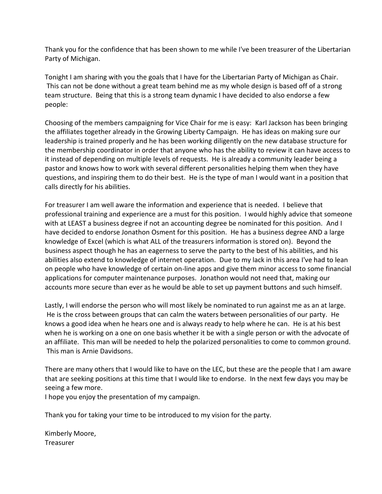Thank you for the confidence that has been shown to me while I've been treasurer of the Libertarian Party of Michigan.

Tonight I am sharing with you the goals that I have for the Libertarian Party of Michigan as Chair. This can not be done without a great team behind me as my whole design is based off of a strong team structure. Being that this is a strong team dynamic I have decided to also endorse a few people:

Choosing of the members campaigning for Vice Chair for me is easy: Karl Jackson has been bringing the affiliates together already in the Growing Liberty Campaign. He has ideas on making sure our leadership is trained properly and he has been working diligently on the new database structure for the membership coordinator in order that anyone who has the ability to review it can have access to it instead of depending on multiple levels of requests. He is already a community leader being a pastor and knows how to work with several different personalities helping them when they have questions, and inspiring them to do their best. He is the type of man I would want in a position that calls directly for his abilities.

For treasurer I am well aware the information and experience that is needed. I believe that professional training and experience are a must for this position. I would highly advice that someone with at LEAST a business degree if not an accounting degree be nominated for this position. And I have decided to endorse Jonathon Osment for this position. He has a business degree AND a large knowledge of Excel (which is what ALL of the treasurers information is stored on). Beyond the business aspect though he has an eagerness to serve the party to the best of his abilities, and his abilities also extend to knowledge of internet operation. Due to my lack in this area I've had to lean on people who have knowledge of certain on-line apps and give them minor access to some financial applications for computer maintenance purposes. Jonathon would not need that, making our accounts more secure than ever as he would be able to set up payment buttons and such himself.

Lastly, I will endorse the person who will most likely be nominated to run against me as an at large. He is the cross between groups that can calm the waters between personalities of our party. He knows a good idea when he hears one and is always ready to help where he can. He is at his best when he is working on a one on one basis whether it be with a single person or with the advocate of an affiliate. This man will be needed to help the polarized personalities to come to common ground. This man is Arnie Davidsons.

There are many others that I would like to have on the LEC, but these are the people that I am aware that are seeking positions at this time that I would like to endorse. In the next few days you may be seeing a few more.

I hope you enjoy the presentation of my campaign.

Thank you for taking your time to be introduced to my vision for the party.

Kimberly Moore, **Treasurer**